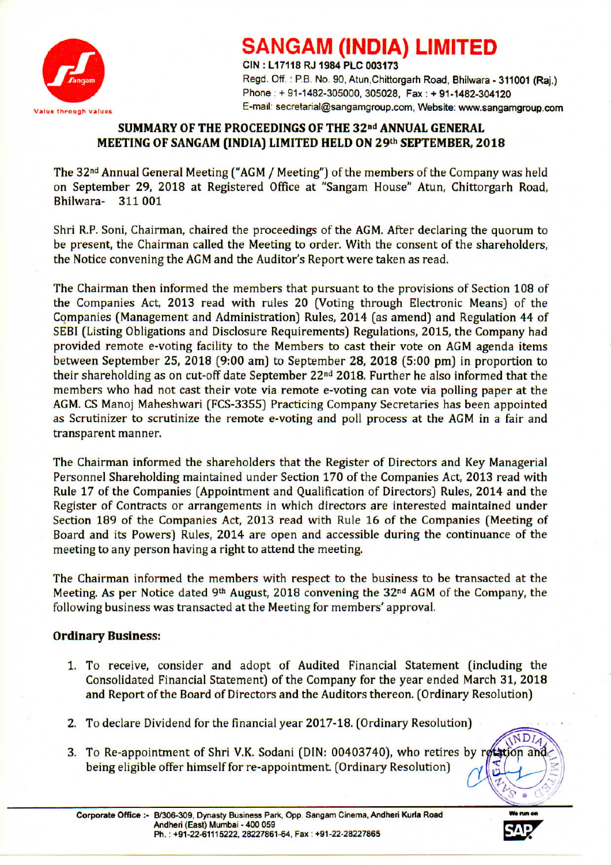

## **SANGAM (INDIA) LIMITED**

CIN : L 17118 RJ 1984 PLC 003173 Regd. Off.: P.B. No. 90, Atun, Chittorgarh Road, Bhilwara - 311001 (Raj.) Phone: + 91-1482-305000, 305028, Fax: + 91-1482-304120 Value through values **E-mail: secretarial@sangamgroup.com, Website: www.sangamgroup.com** 

#### SUMMARY OF THE PROCEEDINGS OF THE 32<sup>nd</sup> ANNUAL GENERAL MEETING OF SANGAM (INDIA) LIMITED HELD ON 29th SEPTEMBER, 2018

The 32nd Annual General Meeting ("AGM/ Meeting") of the members of the Company was held on September 29, 2018 at Registered Office at "Sangam House" Atun, Chittorgarh Road, Bhilwara- 311001

Shri R.P. Soni, Chairman, chaired the proceedings of the AGM. After declaring the quorum to be present, the Chairman called the Meeting to order. With the consent of the shareholders, the Notice convening the AGMand the Auditor's Report were taken as read.

The Chairman then informed the members that pursuant to the provisions of Section 108 of the Companies Act, 2013 read with rules 20 (Voting through Electronic Means) of the Companies (Management and Administration) Rules, 2014 (as amend) and Regulation 44 of SEBI (Listing Obligations and Disclosure Requirements) Regulations, 2015, the Company had provided remote e-voting facility to the Members to cast their vote on AGM agenda items between September 25, 2018 (9:00 am) to September 28, 2018 (5:00 pm) in proportion to their shareholding as on cut-off date September 22nd 2018. Further he also informed that the members who had not cast their vote via remote e-voting can vote via polling paper at the AGM.CS Manoj Maheshwari (FCS-3355) Practicing Company Secretaries has been appointed as Scrutinizer to scrutinize the remote e-voting and poll process at the AGM in a fair and transparent manner.

The Chairman informed the shareholders that the Register of Directors and Key Managerial Personnel Shareholding maintained under Section 170 of the Companies Act, 2013 read with Rule 17 of the Companies (Appointment and Qualification of Directors) Rules, 2014 and the Register of Contracts or arrangements in which directors are interested maintained under Section 189 of the Companies Act, 2013 read with Rule 16 of the Companies (Meeting of Board and its Powers) Rules, 2014 are open and accessible during the continuance of the meeting to any person having a right to attend the meeting.

The Chairman informed the members with respect to the business to be transacted at the Meeting. As per Notice dated 9<sup>th</sup> August, 2018 convening the 32<sup>nd</sup> AGM of the Company, the following business was transacted at the Meeting for members' approval.

### Ordinary Business:

- 1. To receive, consider and adopt of Audited Financial Statement (including the Consolidated Financial Statement) of the Company for the year ended March 31, 2018 and Report of the Board of Directors and the Auditors thereon. (Ordinary Resolution)
- 2. To declare Dividend for the financial year 2017-18. (Ordinary Resolution)
- being eligible offer himself for re-appointment. (Ordinary Resolution) 3. To Re-appointment of Shri V.K. Sodani (DIN: 00403740), who retires by retation an



NDLA